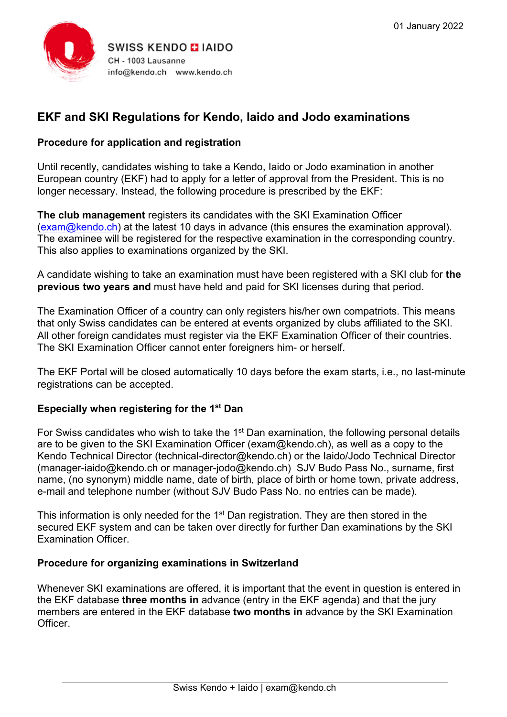

# **EKF and SKI Regulations for Kendo, Iaido and Jodo examinations**

# **Procedure for application and registration**

Until recently, candidates wishing to take a Kendo, Iaido or Jodo examination in another European country (EKF) had to apply for a letter of approval from the President. This is no longer necessary. Instead, the following procedure is prescribed by the EKF:

**The club management** registers its candidates with the SKI Examination Officer [\(exam@kendo.ch\)](mailto:exam@kendo.ch) at the latest 10 days in advance (this ensures the examination approval). The examinee will be registered for the respective examination in the corresponding country. This also applies to examinations organized by the SKI.

A candidate wishing to take an examination must have been registered with a SKI club for **the previous two years and** must have held and paid for SKI licenses during that period.

The Examination Officer of a country can only registers his/her own compatriots. This means that only Swiss candidates can be entered at events organized by clubs affiliated to the SKI. All other foreign candidates must register via the EKF Examination Officer of their countries. The SKI Examination Officer cannot enter foreigners him- or herself.

The EKF Portal will be closed automatically 10 days before the exam starts, i.e., no last-minute registrations can be accepted.

#### **Especially when registering for the 1st Dan**

For Swiss candidates who wish to take the  $1<sup>st</sup>$  Dan examination, the following personal details are to be given to the SKI Examination Officer (exam@kendo.ch), as well as a copy to the Kendo Technical Director (technical-director@kendo.ch) or the Iaido/Jodo Technical Director (manager-iaido@kendo.ch or manager-jodo@kendo.ch) SJV Budo Pass No., surname, first name, (no synonym) middle name, date of birth, place of birth or home town, private address, e-mail and telephone number (without SJV Budo Pass No. no entries can be made).

This information is only needed for the 1<sup>st</sup> Dan registration. They are then stored in the secured EKF system and can be taken over directly for further Dan examinations by the SKI Examination Officer.

# **Procedure for organizing examinations in Switzerland**

Whenever SKI examinations are offered, it is important that the event in question is entered in the EKF database **three months in** advance (entry in the EKF agenda) and that the jury members are entered in the EKF database **two months in** advance by the SKI Examination **Officer**